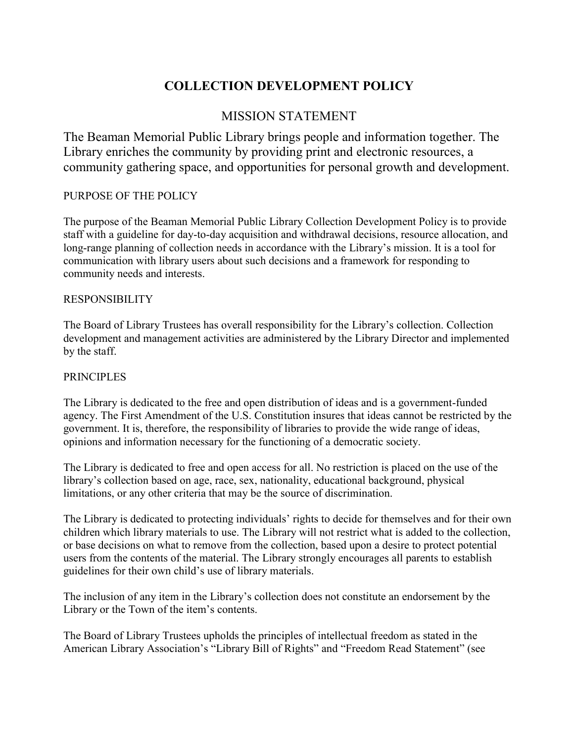# **COLLECTION DEVELOPMENT POLICY**

# MISSION STATEMENT

The Beaman Memorial Public Library brings people and information together. The Library enriches the community by providing print and electronic resources, a community gathering space, and opportunities for personal growth and development.

## PURPOSE OF THE POLICY

The purpose of the Beaman Memorial Public Library Collection Development Policy is to provide staff with a guideline for day-to-day acquisition and withdrawal decisions, resource allocation, and long-range planning of collection needs in accordance with the Library's mission. It is a tool for communication with library users about such decisions and a framework for responding to community needs and interests.

#### RESPONSIBILITY

The Board of Library Trustees has overall responsibility for the Library's collection. Collection development and management activities are administered by the Library Director and implemented by the staff.

### PRINCIPLES

The Library is dedicated to the free and open distribution of ideas and is a government-funded agency. The First Amendment of the U.S. Constitution insures that ideas cannot be restricted by the government. It is, therefore, the responsibility of libraries to provide the wide range of ideas, opinions and information necessary for the functioning of a democratic society.

The Library is dedicated to free and open access for all. No restriction is placed on the use of the library's collection based on age, race, sex, nationality, educational background, physical limitations, or any other criteria that may be the source of discrimination.

The Library is dedicated to protecting individuals' rights to decide for themselves and for their own children which library materials to use. The Library will not restrict what is added to the collection, or base decisions on what to remove from the collection, based upon a desire to protect potential users from the contents of the material. The Library strongly encourages all parents to establish guidelines for their own child's use of library materials.

The inclusion of any item in the Library's collection does not constitute an endorsement by the Library or the Town of the item's contents.

The Board of Library Trustees upholds the principles of intellectual freedom as stated in the American Library Association's "Library Bill of Rights" and "Freedom Read Statement" (see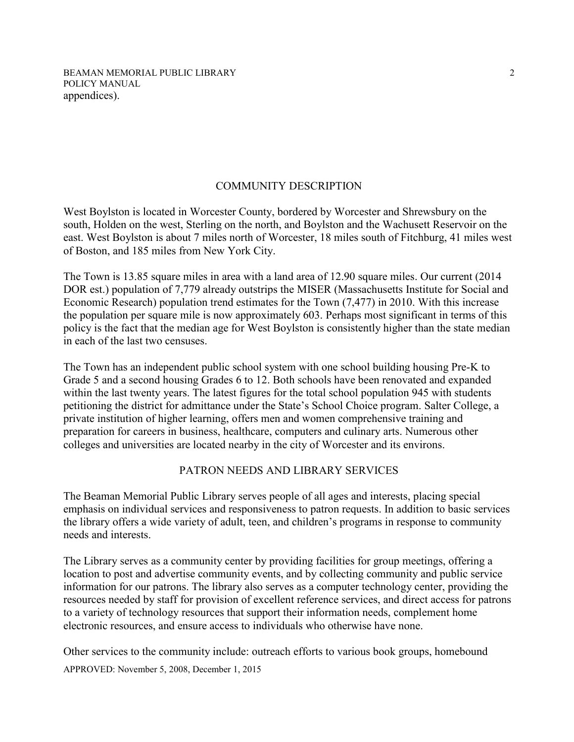BEAMAN MEMORIAL PUBLIC LIBRARY POLICY MANUAL appendices).

#### COMMUNITY DESCRIPTION

West Boylston is located in Worcester County, bordered by Worcester and Shrewsbury on the south, Holden on the west, Sterling on the north, and Boylston and the Wachusett Reservoir on the east. West Boylston is about 7 miles north of Worcester, 18 miles south of Fitchburg, 41 miles west of Boston, and 185 miles from New York City.

The Town is 13.85 square miles in area with a land area of 12.90 square miles. Our current (2014 DOR est.) population of 7,779 already outstrips the MISER (Massachusetts Institute for Social and Economic Research) population trend estimates for the Town (7,477) in 2010. With this increase the population per square mile is now approximately 603. Perhaps most significant in terms of this policy is the fact that the median age for West Boylston is consistently higher than the state median in each of the last two censuses.

The Town has an independent public school system with one school building housing Pre-K to Grade 5 and a second housing Grades 6 to 12. Both schools have been renovated and expanded within the last twenty years. The latest figures for the total school population 945 with students petitioning the district for admittance under the State's School Choice program. Salter College, a private institution of higher learning, offers men and women comprehensive training and preparation for careers in business, healthcare, computers and culinary arts. Numerous other colleges and universities are located nearby in the city of Worcester and its environs.

#### PATRON NEEDS AND LIBRARY SERVICES

The Beaman Memorial Public Library serves people of all ages and interests, placing special emphasis on individual services and responsiveness to patron requests. In addition to basic services the library offers a wide variety of adult, teen, and children's programs in response to community needs and interests.

The Library serves as a community center by providing facilities for group meetings, offering a location to post and advertise community events, and by collecting community and public service information for our patrons. The library also serves as a computer technology center, providing the resources needed by staff for provision of excellent reference services, and direct access for patrons to a variety of technology resources that support their information needs, complement home electronic resources, and ensure access to individuals who otherwise have none.

APPROVED: November 5, 2008, December 1, 2015 Other services to the community include: outreach efforts to various book groups, homebound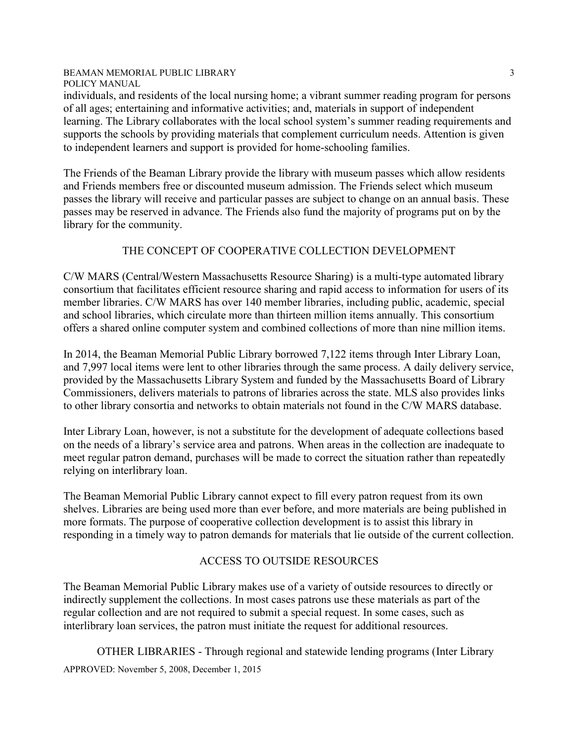individuals, and residents of the local nursing home; a vibrant summer reading program for persons of all ages; entertaining and informative activities; and, materials in support of independent learning. The Library collaborates with the local school system's summer reading requirements and supports the schools by providing materials that complement curriculum needs. Attention is given to independent learners and support is provided for home-schooling families.

The Friends of the Beaman Library provide the library with museum passes which allow residents and Friends members free or discounted museum admission. The Friends select which museum passes the library will receive and particular passes are subject to change on an annual basis. These passes may be reserved in advance. The Friends also fund the majority of programs put on by the library for the community.

#### THE CONCEPT OF COOPERATIVE COLLECTION DEVELOPMENT

C/W MARS (Central/Western Massachusetts Resource Sharing) is a multi-type automated library consortium that facilitates efficient resource sharing and rapid access to information for users of its member libraries. C/W MARS has over 140 member libraries, including public, academic, special and school libraries, which circulate more than thirteen million items annually. This consortium offers a shared online computer system and combined collections of more than nine million items.

In 2014, the Beaman Memorial Public Library borrowed 7,122 items through Inter Library Loan, and 7,997 local items were lent to other libraries through the same process. A daily delivery service, provided by the Massachusetts Library System and funded by the Massachusetts Board of Library Commissioners, delivers materials to patrons of libraries across the state. MLS also provides links to other library consortia and networks to obtain materials not found in the C/W MARS database.

Inter Library Loan, however, is not a substitute for the development of adequate collections based on the needs of a library's service area and patrons. When areas in the collection are inadequate to meet regular patron demand, purchases will be made to correct the situation rather than repeatedly relying on interlibrary loan.

The Beaman Memorial Public Library cannot expect to fill every patron request from its own shelves. Libraries are being used more than ever before, and more materials are being published in more formats. The purpose of cooperative collection development is to assist this library in responding in a timely way to patron demands for materials that lie outside of the current collection.

## ACCESS TO OUTSIDE RESOURCES

The Beaman Memorial Public Library makes use of a variety of outside resources to directly or indirectly supplement the collections. In most cases patrons use these materials as part of the regular collection and are not required to submit a special request. In some cases, such as interlibrary loan services, the patron must initiate the request for additional resources.

APPROVED: November 5, 2008, December 1, 2015 OTHER LIBRARIES - Through regional and statewide lending programs (Inter Library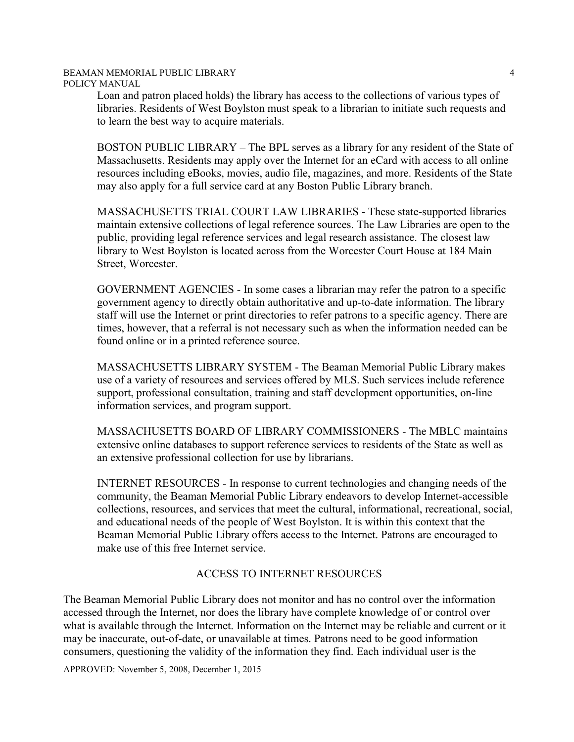Loan and patron placed holds) the library has access to the collections of various types of libraries. Residents of West Boylston must speak to a librarian to initiate such requests and to learn the best way to acquire materials.

BOSTON PUBLIC LIBRARY – The BPL serves as a library for any resident of the State of Massachusetts. Residents may apply over the Internet for an eCard with access to all online resources including eBooks, movies, audio file, magazines, and more. Residents of the State may also apply for a full service card at any Boston Public Library branch.

MASSACHUSETTS TRIAL COURT LAW LIBRARIES - These state-supported libraries maintain extensive collections of legal reference sources. The Law Libraries are open to the public, providing legal reference services and legal research assistance. The closest law library to West Boylston is located across from the Worcester Court House at 184 Main Street, Worcester.

GOVERNMENT AGENCIES - In some cases a librarian may refer the patron to a specific government agency to directly obtain authoritative and up-to-date information. The library staff will use the Internet or print directories to refer patrons to a specific agency. There are times, however, that a referral is not necessary such as when the information needed can be found online or in a printed reference source.

MASSACHUSETTS LIBRARY SYSTEM - The Beaman Memorial Public Library makes use of a variety of resources and services offered by MLS. Such services include reference support, professional consultation, training and staff development opportunities, on-line information services, and program support.

MASSACHUSETTS BOARD OF LIBRARY COMMISSIONERS - The MBLC maintains extensive online databases to support reference services to residents of the State as well as an extensive professional collection for use by librarians.

INTERNET RESOURCES - In response to current technologies and changing needs of the community, the Beaman Memorial Public Library endeavors to develop Internet-accessible collections, resources, and services that meet the cultural, informational, recreational, social, and educational needs of the people of West Boylston. It is within this context that the Beaman Memorial Public Library offers access to the Internet. Patrons are encouraged to make use of this free Internet service.

## ACCESS TO INTERNET RESOURCES

The Beaman Memorial Public Library does not monitor and has no control over the information accessed through the Internet, nor does the library have complete knowledge of or control over what is available through the Internet. Information on the Internet may be reliable and current or it may be inaccurate, out-of-date, or unavailable at times. Patrons need to be good information consumers, questioning the validity of the information they find. Each individual user is the

APPROVED: November 5, 2008, December 1, 2015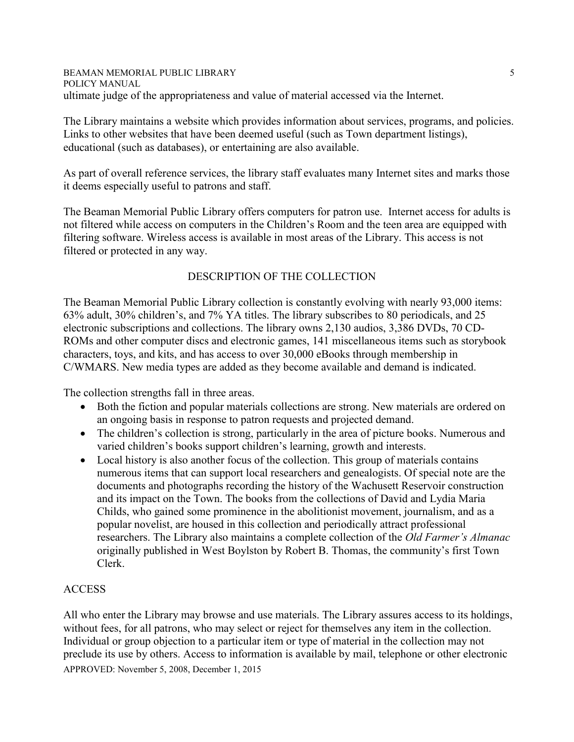#### BEAMAN MEMORIAL PUBLIC LIBRARY POLICY MANUAL ultimate judge of the appropriateness and value of material accessed via the Internet.

The Library maintains a website which provides information about services, programs, and policies. Links to other websites that have been deemed useful (such as Town department listings), educational (such as databases), or entertaining are also available.

As part of overall reference services, the library staff evaluates many Internet sites and marks those it deems especially useful to patrons and staff.

The Beaman Memorial Public Library offers computers for patron use. Internet access for adults is not filtered while access on computers in the Children's Room and the teen area are equipped with filtering software. Wireless access is available in most areas of the Library. This access is not filtered or protected in any way.

## DESCRIPTION OF THE COLLECTION

The Beaman Memorial Public Library collection is constantly evolving with nearly 93,000 items: 63% adult, 30% children's, and 7% YA titles. The library subscribes to 80 periodicals, and 25 electronic subscriptions and collections. The library owns 2,130 audios, 3,386 DVDs, 70 CD-ROMs and other computer discs and electronic games, 141 miscellaneous items such as storybook characters, toys, and kits, and has access to over 30,000 eBooks through membership in C/WMARS. New media types are added as they become available and demand is indicated.

The collection strengths fall in three areas.

- Both the fiction and popular materials collections are strong. New materials are ordered on an ongoing basis in response to patron requests and projected demand.
- The children's collection is strong, particularly in the area of picture books. Numerous and varied children's books support children's learning, growth and interests.
- Local history is also another focus of the collection. This group of materials contains numerous items that can support local researchers and genealogists. Of special note are the documents and photographs recording the history of the Wachusett Reservoir construction and its impact on the Town. The books from the collections of David and Lydia Maria Childs, who gained some prominence in the abolitionist movement, journalism, and as a popular novelist, are housed in this collection and periodically attract professional researchers. The Library also maintains a complete collection of the *Old Farmer's Almanac* originally published in West Boylston by Robert B. Thomas, the community's first Town Clerk.

## ACCESS

APPROVED: November 5, 2008, December 1, 2015 All who enter the Library may browse and use materials. The Library assures access to its holdings, without fees, for all patrons, who may select or reject for themselves any item in the collection. Individual or group objection to a particular item or type of material in the collection may not preclude its use by others. Access to information is available by mail, telephone or other electronic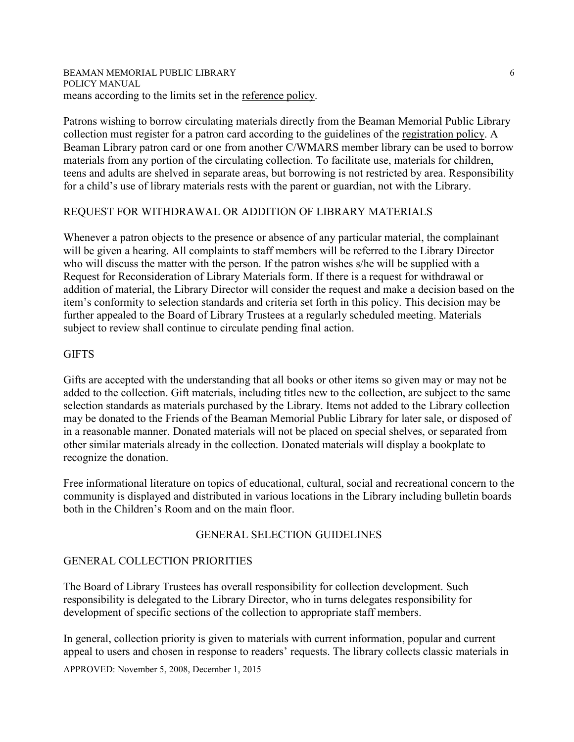#### BEAMAN MEMORIAL PUBLIC LIBRARY POLICY MANUAL means according to the limits set in the reference policy.

Patrons wishing to borrow circulating materials directly from the Beaman Memorial Public Library collection must register for a patron card according to the guidelines of the registration policy. A Beaman Library patron card or one from another C/WMARS member library can be used to borrow materials from any portion of the circulating collection. To facilitate use, materials for children, teens and adults are shelved in separate areas, but borrowing is not restricted by area. Responsibility for a child's use of library materials rests with the parent or guardian, not with the Library.

## REQUEST FOR WITHDRAWAL OR ADDITION OF LIBRARY MATERIALS

Whenever a patron objects to the presence or absence of any particular material, the complainant will be given a hearing. All complaints to staff members will be referred to the Library Director who will discuss the matter with the person. If the patron wishes s/he will be supplied with a Request for Reconsideration of Library Materials form. If there is a request for withdrawal or addition of material, the Library Director will consider the request and make a decision based on the item's conformity to selection standards and criteria set forth in this policy. This decision may be further appealed to the Board of Library Trustees at a regularly scheduled meeting. Materials subject to review shall continue to circulate pending final action.

## **GIFTS**

Gifts are accepted with the understanding that all books or other items so given may or may not be added to the collection. Gift materials, including titles new to the collection, are subject to the same selection standards as materials purchased by the Library. Items not added to the Library collection may be donated to the Friends of the Beaman Memorial Public Library for later sale, or disposed of in a reasonable manner. Donated materials will not be placed on special shelves, or separated from other similar materials already in the collection. Donated materials will display a bookplate to recognize the donation.

Free informational literature on topics of educational, cultural, social and recreational concern to the community is displayed and distributed in various locations in the Library including bulletin boards both in the Children's Room and on the main floor.

## GENERAL SELECTION GUIDELINES

## GENERAL COLLECTION PRIORITIES

The Board of Library Trustees has overall responsibility for collection development. Such responsibility is delegated to the Library Director, who in turns delegates responsibility for development of specific sections of the collection to appropriate staff members.

In general, collection priority is given to materials with current information, popular and current appeal to users and chosen in response to readers' requests. The library collects classic materials in

APPROVED: November 5, 2008, December 1, 2015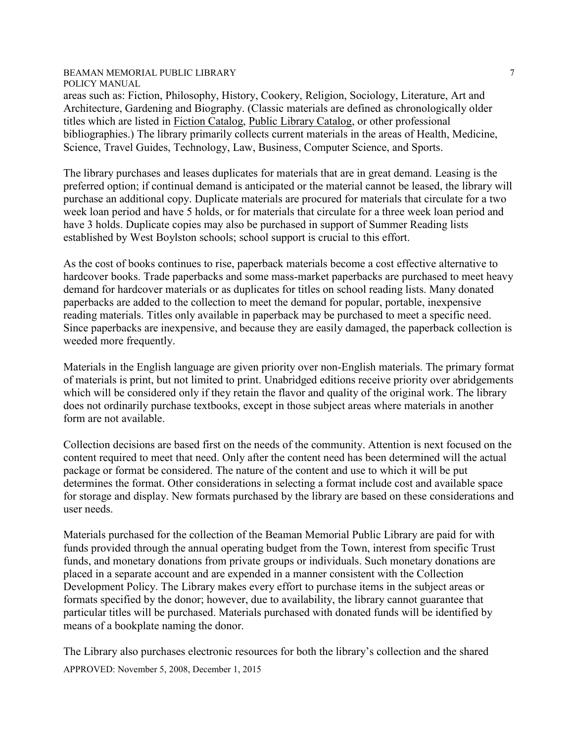areas such as: Fiction, Philosophy, History, Cookery, Religion, Sociology, Literature, Art and Architecture, Gardening and Biography. (Classic materials are defined as chronologically older titles which are listed in Fiction Catalog, Public Library Catalog, or other professional bibliographies.) The library primarily collects current materials in the areas of Health, Medicine, Science, Travel Guides, Technology, Law, Business, Computer Science, and Sports.

The library purchases and leases duplicates for materials that are in great demand. Leasing is the preferred option; if continual demand is anticipated or the material cannot be leased, the library will purchase an additional copy. Duplicate materials are procured for materials that circulate for a two week loan period and have 5 holds, or for materials that circulate for a three week loan period and have 3 holds. Duplicate copies may also be purchased in support of Summer Reading lists established by West Boylston schools; school support is crucial to this effort.

As the cost of books continues to rise, paperback materials become a cost effective alternative to hardcover books. Trade paperbacks and some mass-market paperbacks are purchased to meet heavy demand for hardcover materials or as duplicates for titles on school reading lists. Many donated paperbacks are added to the collection to meet the demand for popular, portable, inexpensive reading materials. Titles only available in paperback may be purchased to meet a specific need. Since paperbacks are inexpensive, and because they are easily damaged, the paperback collection is weeded more frequently.

Materials in the English language are given priority over non-English materials. The primary format of materials is print, but not limited to print. Unabridged editions receive priority over abridgements which will be considered only if they retain the flavor and quality of the original work. The library does not ordinarily purchase textbooks, except in those subject areas where materials in another form are not available.

Collection decisions are based first on the needs of the community. Attention is next focused on the content required to meet that need. Only after the content need has been determined will the actual package or format be considered. The nature of the content and use to which it will be put determines the format. Other considerations in selecting a format include cost and available space for storage and display. New formats purchased by the library are based on these considerations and user needs.

Materials purchased for the collection of the Beaman Memorial Public Library are paid for with funds provided through the annual operating budget from the Town, interest from specific Trust funds, and monetary donations from private groups or individuals. Such monetary donations are placed in a separate account and are expended in a manner consistent with the Collection Development Policy. The Library makes every effort to purchase items in the subject areas or formats specified by the donor; however, due to availability, the library cannot guarantee that particular titles will be purchased. Materials purchased with donated funds will be identified by means of a bookplate naming the donor.

APPROVED: November 5, 2008, December 1, 2015 The Library also purchases electronic resources for both the library's collection and the shared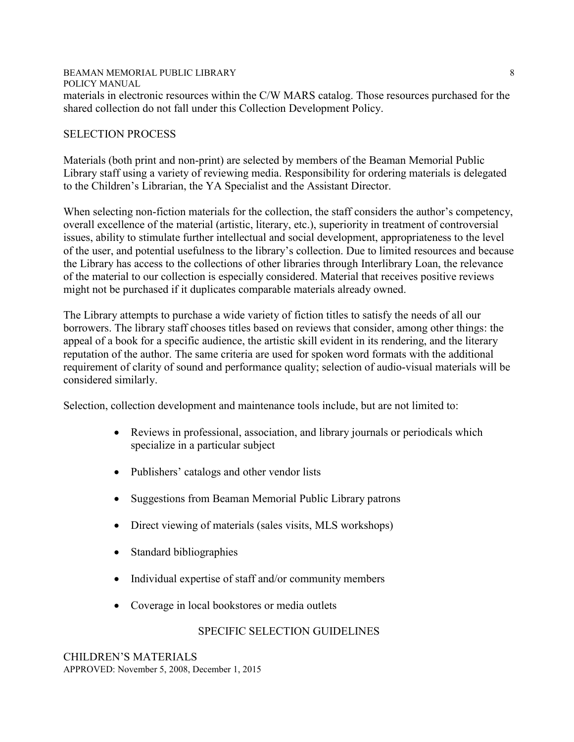#### BEAMAN MEMORIAL PUBLIC LIBRARY POLICY MANUAL 8 materials in electronic resources within the C/W MARS catalog. Those resources purchased for the shared collection do not fall under this Collection Development Policy.

### SELECTION PROCESS

Materials (both print and non-print) are selected by members of the Beaman Memorial Public Library staff using a variety of reviewing media. Responsibility for ordering materials is delegated to the Children's Librarian, the YA Specialist and the Assistant Director.

When selecting non-fiction materials for the collection, the staff considers the author's competency, overall excellence of the material (artistic, literary, etc.), superiority in treatment of controversial issues, ability to stimulate further intellectual and social development, appropriateness to the level of the user, and potential usefulness to the library's collection. Due to limited resources and because the Library has access to the collections of other libraries through Interlibrary Loan, the relevance of the material to our collection is especially considered. Material that receives positive reviews might not be purchased if it duplicates comparable materials already owned.

The Library attempts to purchase a wide variety of fiction titles to satisfy the needs of all our borrowers. The library staff chooses titles based on reviews that consider, among other things: the appeal of a book for a specific audience, the artistic skill evident in its rendering, and the literary reputation of the author. The same criteria are used for spoken word formats with the additional requirement of clarity of sound and performance quality; selection of audio-visual materials will be considered similarly.

Selection, collection development and maintenance tools include, but are not limited to:

- Reviews in professional, association, and library journals or periodicals which specialize in a particular subject
- Publishers' catalogs and other vendor lists
- Suggestions from Beaman Memorial Public Library patrons
- Direct viewing of materials (sales visits, MLS workshops)
- Standard bibliographies
- Individual expertise of staff and/or community members
- Coverage in local bookstores or media outlets

## SPECIFIC SELECTION GUIDELINES

APPROVED: November 5, 2008, December 1, 2015 CHILDREN'S MATERIALS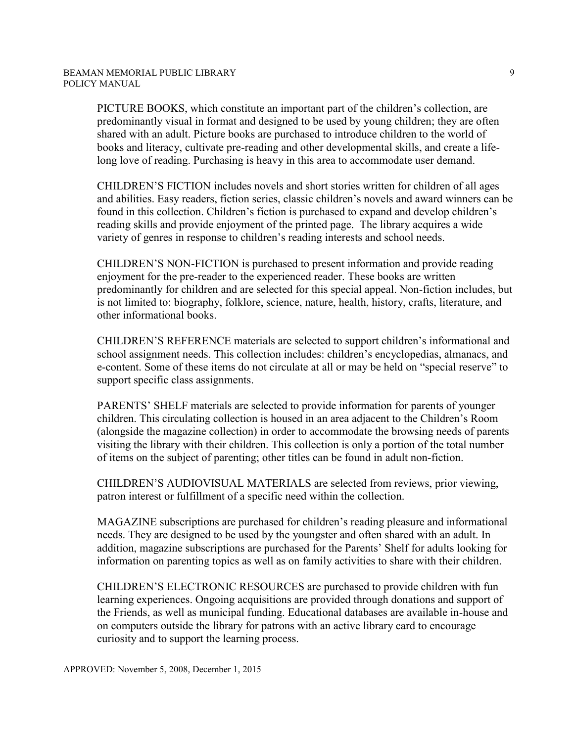PICTURE BOOKS, which constitute an important part of the children's collection, are predominantly visual in format and designed to be used by young children; they are often shared with an adult. Picture books are purchased to introduce children to the world of books and literacy, cultivate pre-reading and other developmental skills, and create a lifelong love of reading. Purchasing is heavy in this area to accommodate user demand.

CHILDREN'S FICTION includes novels and short stories written for children of all ages and abilities. Easy readers, fiction series, classic children's novels and award winners can be found in this collection. Children's fiction is purchased to expand and develop children's reading skills and provide enjoyment of the printed page. The library acquires a wide variety of genres in response to children's reading interests and school needs.

CHILDREN'S NON-FICTION is purchased to present information and provide reading enjoyment for the pre-reader to the experienced reader. These books are written predominantly for children and are selected for this special appeal. Non-fiction includes, but is not limited to: biography, folklore, science, nature, health, history, crafts, literature, and other informational books.

CHILDREN'S REFERENCE materials are selected to support children's informational and school assignment needs. This collection includes: children's encyclopedias, almanacs, and e-content. Some of these items do not circulate at all or may be held on "special reserve" to support specific class assignments.

PARENTS' SHELF materials are selected to provide information for parents of younger children. This circulating collection is housed in an area adjacent to the Children's Room (alongside the magazine collection) in order to accommodate the browsing needs of parents visiting the library with their children. This collection is only a portion of the total number of items on the subject of parenting; other titles can be found in adult non-fiction.

CHILDREN'S AUDIOVISUAL MATERIALS are selected from reviews, prior viewing, patron interest or fulfillment of a specific need within the collection.

MAGAZINE subscriptions are purchased for children's reading pleasure and informational needs. They are designed to be used by the youngster and often shared with an adult. In addition, magazine subscriptions are purchased for the Parents' Shelf for adults looking for information on parenting topics as well as on family activities to share with their children.

CHILDREN'S ELECTRONIC RESOURCES are purchased to provide children with fun learning experiences. Ongoing acquisitions are provided through donations and support of the Friends, as well as municipal funding. Educational databases are available in-house and on computers outside the library for patrons with an active library card to encourage curiosity and to support the learning process.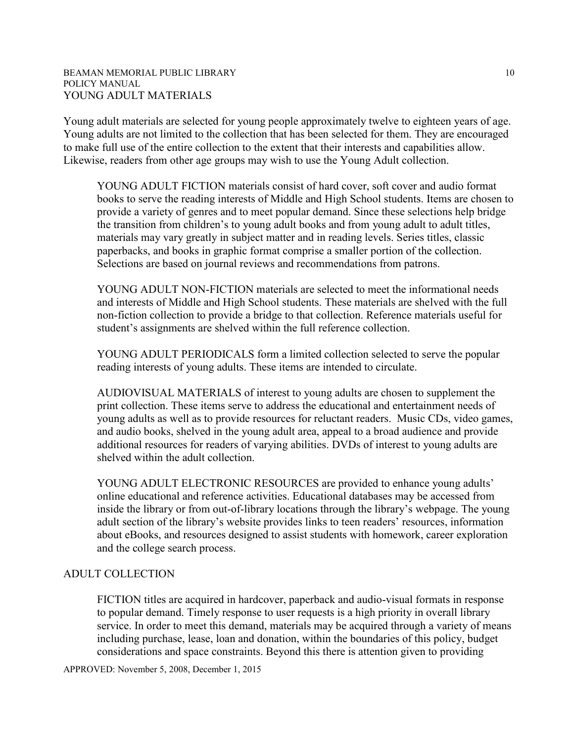#### BEAMAN MEMORIAL PUBLIC LIBRARY POLICY MANUAL YOUNG ADULT MATERIALS

Young adult materials are selected for young people approximately twelve to eighteen years of age. Young adults are not limited to the collection that has been selected for them. They are encouraged to make full use of the entire collection to the extent that their interests and capabilities allow. Likewise, readers from other age groups may wish to use the Young Adult collection.

YOUNG ADULT FICTION materials consist of hard cover, soft cover and audio format books to serve the reading interests of Middle and High School students. Items are chosen to provide a variety of genres and to meet popular demand. Since these selections help bridge the transition from children's to young adult books and from young adult to adult titles, materials may vary greatly in subject matter and in reading levels. Series titles, classic paperbacks, and books in graphic format comprise a smaller portion of the collection. Selections are based on journal reviews and recommendations from patrons.

YOUNG ADULT NON-FICTION materials are selected to meet the informational needs and interests of Middle and High School students. These materials are shelved with the full non-fiction collection to provide a bridge to that collection. Reference materials useful for student's assignments are shelved within the full reference collection.

YOUNG ADULT PERIODICALS form a limited collection selected to serve the popular reading interests of young adults. These items are intended to circulate.

AUDIOVISUAL MATERIALS of interest to young adults are chosen to supplement the print collection. These items serve to address the educational and entertainment needs of young adults as well as to provide resources for reluctant readers. Music CDs, video games, and audio books, shelved in the young adult area, appeal to a broad audience and provide additional resources for readers of varying abilities. DVDs of interest to young adults are shelved within the adult collection.

YOUNG ADULT ELECTRONIC RESOURCES are provided to enhance young adults' online educational and reference activities. Educational databases may be accessed from inside the library or from out-of-library locations through the library's webpage. The young adult section of the library's website provides links to teen readers' resources, information about eBooks, and resources designed to assist students with homework, career exploration and the college search process.

#### ADULT COLLECTION

FICTION titles are acquired in hardcover, paperback and audio-visual formats in response to popular demand. Timely response to user requests is a high priority in overall library service. In order to meet this demand, materials may be acquired through a variety of means including purchase, lease, loan and donation, within the boundaries of this policy, budget considerations and space constraints. Beyond this there is attention given to providing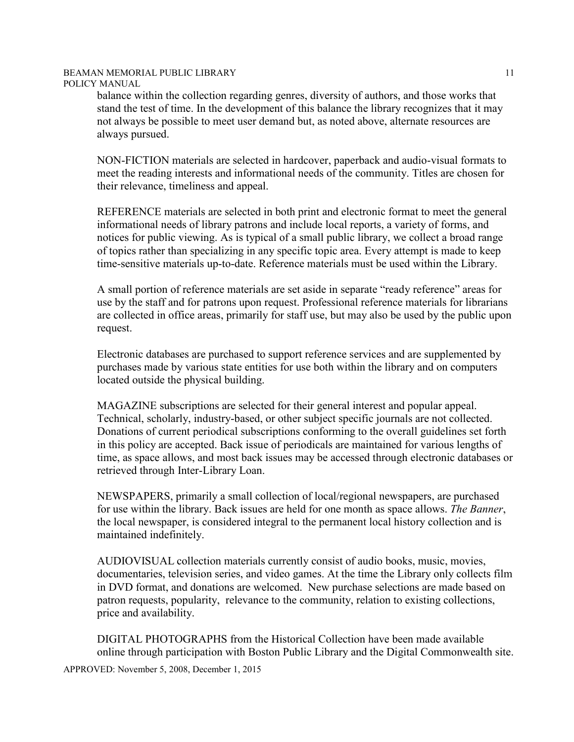balance within the collection regarding genres, diversity of authors, and those works that stand the test of time. In the development of this balance the library recognizes that it may not always be possible to meet user demand but, as noted above, alternate resources are always pursued.

NON-FICTION materials are selected in hardcover, paperback and audio-visual formats to meet the reading interests and informational needs of the community. Titles are chosen for their relevance, timeliness and appeal.

REFERENCE materials are selected in both print and electronic format to meet the general informational needs of library patrons and include local reports, a variety of forms, and notices for public viewing. As is typical of a small public library, we collect a broad range of topics rather than specializing in any specific topic area. Every attempt is made to keep time-sensitive materials up-to-date. Reference materials must be used within the Library.

A small portion of reference materials are set aside in separate "ready reference" areas for use by the staff and for patrons upon request. Professional reference materials for librarians are collected in office areas, primarily for staff use, but may also be used by the public upon request.

Electronic databases are purchased to support reference services and are supplemented by purchases made by various state entities for use both within the library and on computers located outside the physical building.

MAGAZINE subscriptions are selected for their general interest and popular appeal. Technical, scholarly, industry-based, or other subject specific journals are not collected. Donations of current periodical subscriptions conforming to the overall guidelines set forth in this policy are accepted. Back issue of periodicals are maintained for various lengths of time, as space allows, and most back issues may be accessed through electronic databases or retrieved through Inter-Library Loan.

NEWSPAPERS, primarily a small collection of local/regional newspapers, are purchased for use within the library. Back issues are held for one month as space allows. *The Banner*, the local newspaper, is considered integral to the permanent local history collection and is maintained indefinitely.

AUDIOVISUAL collection materials currently consist of audio books, music, movies, documentaries, television series, and video games. At the time the Library only collects film in DVD format, and donations are welcomed. New purchase selections are made based on patron requests, popularity, relevance to the community, relation to existing collections, price and availability.

DIGITAL PHOTOGRAPHS from the Historical Collection have been made available online through participation with Boston Public Library and the Digital Commonwealth site.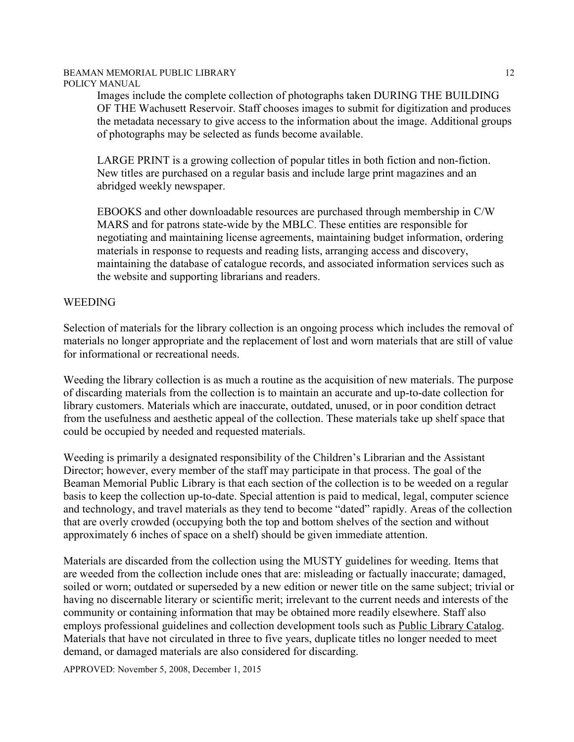Images include the complete collection of photographs taken DURING THE BUILDING OF THE Wachusett Reservoir. Staff chooses images to submit for digitization and produces the metadata necessary to give access to the information about the image. Additional groups of photographs may be selected as funds become available.

LARGE PRINT is a growing collection of popular titles in both fiction and non-fiction. New titles are purchased on a regular basis and include large print magazines and an abridged weekly newspaper.

EBOOKS and other downloadable resources are purchased through membership in C/W MARS and for patrons state-wide by the MBLC. These entities are responsible for negotiating and maintaining license agreements, maintaining budget information, ordering materials in response to requests and reading lists, arranging access and discovery, maintaining the database of catalogue records, and associated information services such as the website and supporting librarians and readers.

#### WEEDING

Selection of materials for the library collection is an ongoing process which includes the removal of materials no longer appropriate and the replacement of lost and worn materials that are still of value for informational or recreational needs.

Weeding the library collection is as much a routine as the acquisition of new materials. The purpose of discarding materials from the collection is to maintain an accurate and up-to-date collection for library customers. Materials which are inaccurate, outdated, unused, or in poor condition detract from the usefulness and aesthetic appeal of the collection. These materials take up shelf space that could be occupied by needed and requested materials.

Weeding is primarily a designated responsibility of the Children's Librarian and the Assistant Director; however, every member of the staff may participate in that process. The goal of the Beaman Memorial Public Library is that each section of the collection is to be weeded on a regular basis to keep the collection up-to-date. Special attention is paid to medical, legal, computer science and technology, and travel materials as they tend to become "dated" rapidly. Areas of the collection that are overly crowded (occupying both the top and bottom shelves of the section and without approximately 6 inches of space on a shelf) should be given immediate attention.

Materials are discarded from the collection using the MUSTY guidelines for weeding. Items that are weeded from the collection include ones that are: misleading or factually inaccurate; damaged, soiled or worn; outdated or superseded by a new edition or newer title on the same subject; trivial or having no discernable literary or scientific merit; irrelevant to the current needs and interests of the community or containing information that may be obtained more readily elsewhere. Staff also employs professional guidelines and collection development tools such as Public Library Catalog. Materials that have not circulated in three to five years, duplicate titles no longer needed to meet demand, or damaged materials are also considered for discarding.

APPROVED: November 5, 2008, December 1, 2015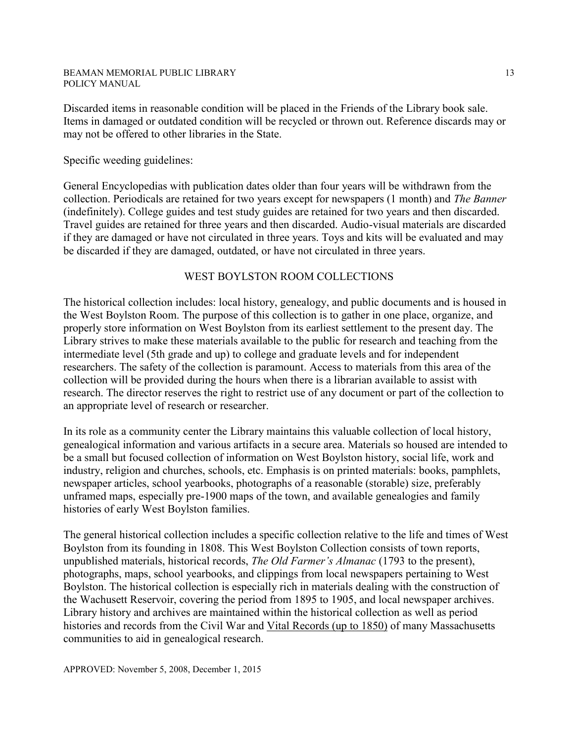Discarded items in reasonable condition will be placed in the Friends of the Library book sale. Items in damaged or outdated condition will be recycled or thrown out. Reference discards may or may not be offered to other libraries in the State.

#### Specific weeding guidelines:

General Encyclopedias with publication dates older than four years will be withdrawn from the collection. Periodicals are retained for two years except for newspapers (1 month) and *The Banner* (indefinitely). College guides and test study guides are retained for two years and then discarded. Travel guides are retained for three years and then discarded. Audio-visual materials are discarded if they are damaged or have not circulated in three years. Toys and kits will be evaluated and may be discarded if they are damaged, outdated, or have not circulated in three years.

#### WEST BOYLSTON ROOM COLLECTIONS

The historical collection includes: local history, genealogy, and public documents and is housed in the West Boylston Room. The purpose of this collection is to gather in one place, organize, and properly store information on West Boylston from its earliest settlement to the present day. The Library strives to make these materials available to the public for research and teaching from the intermediate level (5th grade and up) to college and graduate levels and for independent researchers. The safety of the collection is paramount. Access to materials from this area of the collection will be provided during the hours when there is a librarian available to assist with research. The director reserves the right to restrict use of any document or part of the collection to an appropriate level of research or researcher.

In its role as a community center the Library maintains this valuable collection of local history, genealogical information and various artifacts in a secure area. Materials so housed are intended to be a small but focused collection of information on West Boylston history, social life, work and industry, religion and churches, schools, etc. Emphasis is on printed materials: books, pamphlets, newspaper articles, school yearbooks, photographs of a reasonable (storable) size, preferably unframed maps, especially pre-1900 maps of the town, and available genealogies and family histories of early West Boylston families.

The general historical collection includes a specific collection relative to the life and times of West Boylston from its founding in 1808. This West Boylston Collection consists of town reports, unpublished materials, historical records, *The Old Farmer's Almanac* (1793 to the present), photographs, maps, school yearbooks, and clippings from local newspapers pertaining to West Boylston. The historical collection is especially rich in materials dealing with the construction of the Wachusett Reservoir, covering the period from 1895 to 1905, and local newspaper archives. Library history and archives are maintained within the historical collection as well as period histories and records from the Civil War and Vital Records (up to 1850) of many Massachusetts communities to aid in genealogical research.